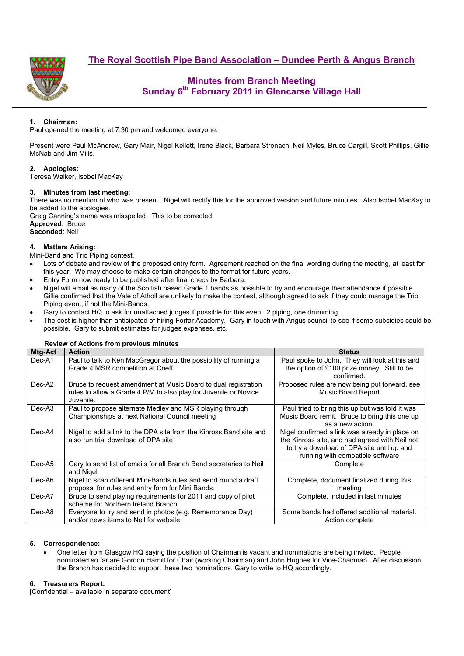**The Royal Scottish Pipe Band Association – Dundee Perth & Angus Branch**



# **Minutes from Branch Meeting Sunday 6th February 2011 in Glencarse Village Hall**

# **1. Chairman:**

Paul opened the meeting at 7.30 pm and welcomed everyone.

Present were Paul McAndrew, Gary Mair, Nigel Kellett, Irene Black, Barbara Stronach, Neil Myles, Bruce Cargill, Scott Phillips, Gillie McNab and Jim Mills.

## **2. Apologies:**

Teresa Walker, Isobel MacKay

#### **3. Minutes from last meeting:**

There was no mention of who was present. Nigel will rectify this for the approved version and future minutes. Also Isobel MacKay to be added to the apologies.

Greig Canning's name was misspelled. This to be corrected **Approved**: Bruce **Seconded**: Neil

### **4. Matters Arising:**

- Mini-Band and Trio Piping contest.
- Lots of debate and review of the proposed entry form. Agreement reached on the final wording during the meeting, at least for this year. We may choose to make certain changes to the format for future years.
- Entry Form now ready to be published after final check by Barbara.
- Nigel will email as many of the Scottish based Grade 1 bands as possible to try and encourage their attendance if possible. Gillie confirmed that the Vale of Atholl are unlikely to make the contest, although agreed to ask if they could manage the Trio Piping event, if not the Mini-Bands.
- Gary to contact HQ to ask for unattached judges if possible for this event. 2 piping, one drumming.
- The cost is higher than anticipated of hiring Forfar Academy. Gary in touch with Angus council to see if some subsidies could be possible. Gary to submit estimates for judges expenses, etc.

#### **Review of Actions from previous minutes**

| Mtg-Act | <b>Action</b>                                                                                                                                   | <b>Status</b>                                                                                                                                                                      |  |
|---------|-------------------------------------------------------------------------------------------------------------------------------------------------|------------------------------------------------------------------------------------------------------------------------------------------------------------------------------------|--|
| Dec-A1  | Paul to talk to Ken MacGregor about the possibility of running a<br>Grade 4 MSR competition at Crieff                                           | Paul spoke to John. They will look at this and<br>the option of £100 prize money. Still to be<br>confirmed.                                                                        |  |
| Dec-A2  | Bruce to request amendment at Music Board to dual registration<br>rules to allow a Grade 4 P/M to also play for Juvenile or Novice<br>Juvenile. | Proposed rules are now being put forward, see<br>Music Board Report                                                                                                                |  |
| Dec-A3  | Paul to propose alternate Medley and MSR playing through<br>Championships at next National Council meeting                                      | Paul tried to bring this up but was told it was<br>Music Board remit. Bruce to bring this one up<br>as a new action.                                                               |  |
| Dec-A4  | Nigel to add a link to the DPA site from the Kinross Band site and<br>also run trial download of DPA site                                       | Nigel confirmed a link was already in place on<br>the Kinross site, and had agreed with Neil not<br>to try a download of DPA site until up and<br>running with compatible software |  |
| Dec-A5  | Gary to send list of emails for all Branch Band secretaries to Neil<br>and Nigel                                                                | Complete                                                                                                                                                                           |  |
| Dec-A6  | Nigel to scan different Mini-Bands rules and send round a draft<br>proposal for rules and entry form for Mini Bands.                            | Complete, document finalized during this<br>meeting                                                                                                                                |  |
| Dec-A7  | Bruce to send playing requirements for 2011 and copy of pilot<br>scheme for Northern Ireland Branch                                             | Complete, included in last minutes                                                                                                                                                 |  |
| Dec-A8  | Everyone to try and send in photos (e.g. Remembrance Day)<br>and/or news items to Neil for website                                              | Some bands had offered additional material.<br>Action complete                                                                                                                     |  |

#### **5. Correspondence:**

• One letter from Glasgow HQ saying the position of Chairman is vacant and nominations are being invited. People nominated so far are Gordon Hamill for Chair (working Chairman) and John Hughes for Vice-Chairman. After discussion, the Branch has decided to support these two nominations. Gary to write to HQ accordingly.

#### **6. Treasurers Report:**

[Confidential – available in separate document]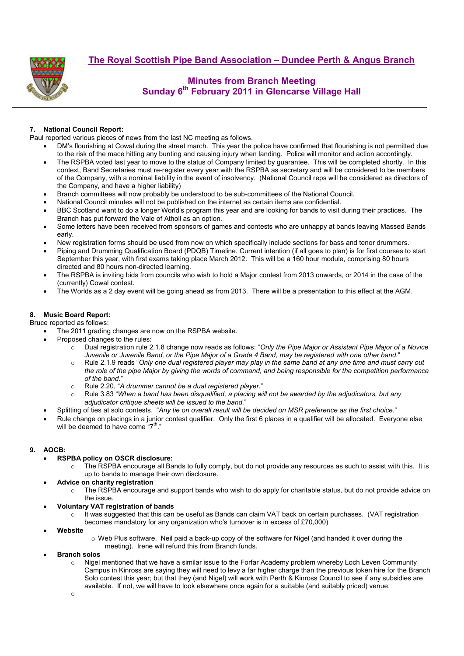**The Royal Scottish Pipe Band Association – Dundee Perth & Angus Branch**



# **Minutes from Branch Meeting Sunday 6th February 2011 in Glencarse Village Hall**

# **7. National Council Report:**

Paul reported various pieces of news from the last NC meeting as follows.

- DM's flourishing at Cowal during the street march. This year the police have confirmed that flourishing is not permitted due to the risk of the mace hitting any bunting and causing injury when landing. Police will monitor and action accordingly.
- The RSPBA voted last year to move to the status of Company limited by guarantee. This will be completed shortly. In this context, Band Secretaries must re-register every year with the RSPBA as secretary and will be considered to be members of the Company, with a nominal liability in the event of insolvency. (National Council reps will be considered as directors of the Company, and have a higher liability)
- Branch committees will now probably be understood to be sub-committees of the National Council.
- National Council minutes will not be published on the internet as certain items are confidential.
- BBC Scotland want to do a longer World's program this year and are looking for bands to visit during their practices. The Branch has put forward the Vale of Atholl as an option.
- Some letters have been received from sponsors of games and contests who are unhappy at bands leaving Massed Bands early.
- New registration forms should be used from now on which specifically include sections for bass and tenor drummers.
- Piping and Drumming Qualification Board (PDQB) Timeline. Current intention (if all goes to plan) is for first courses to start September this year, with first exams taking place March 2012. This will be a 160 hour module, comprising 80 hours directed and 80 hours non-directed learning.
- The RSPBA is inviting bids from councils who wish to hold a Major contest from 2013 onwards, or 2014 in the case of the (currently) Cowal contest.
- The Worlds as a 2 day event will be going ahead as from 2013. There will be a presentation to this effect at the AGM.

## **8. Music Board Report:**

Bruce reported as follows:

- The 2011 grading changes are now on the RSPBA website.
- Proposed changes to the rules:
	- o Dual registration rule 2.1.8 change now reads as follows: "*Only the Pipe Major or Assistant Pipe Major of a Novice Juvenile or Juvenile Band, or the Pipe Major of a Grade 4 Band, may be registered with one other band.*"
	- o Rule 2.1.9 reads "*Only one dual registered player may play in the same band at any one time and must carry out the role of the pipe Major by giving the words of command, and being responsible for the competition performance of the band.*"
	- o Rule 2.20, "*A drummer cannot be a dual registered player*."
	- o Rule 3.83 "*When a band has been disqualified, a placing will not be awarded by the adjudicators, but any adjudicator critique sheets will be issued to the band.*"
- Splitting of ties at solo contests. "*Any tie on overall result will be decided on MSR preference as the first choice.*"
- Rule change on placings in a junior contest qualifier. Only the first 6 places in a qualifier will be allocated. Everyone else will be deemed to have come  $7<sup>th</sup>$ .

## **9. AOCB:**

- **RSPBA policy on OSCR disclosure:** 
	- o The RSPBA encourage all Bands to fully comply, but do not provide any resources as such to assist with this. It is up to bands to manage their own disclosure.
- **Advice on charity registration** 
	- o The RSPBA encourage and support bands who wish to do apply for charitable status, but do not provide advice on the issue.
- **Voluntary VAT registration of bands** 
	- It was suggested that this can be useful as Bands can claim VAT back on certain purchases. (VAT registration becomes mandatory for any organization who's turnover is in excess of £70,000)
- **Website**
- o Web Plus software. Neil paid a back-up copy of the software for Nigel (and handed it over during the meeting). Irene will refund this from Branch funds.
- **Branch solos** 
	- o Nigel mentioned that we have a similar issue to the Forfar Academy problem whereby Loch Leven Community Campus in Kinross are saying they will need to levy a far higher charge than the previous token hire for the Branch Solo contest this year; but that they (and Nigel) will work with Perth & Kinross Council to see if any subsidies are available. If not, we will have to look elsewhere once again for a suitable (and suitably priced) venue.